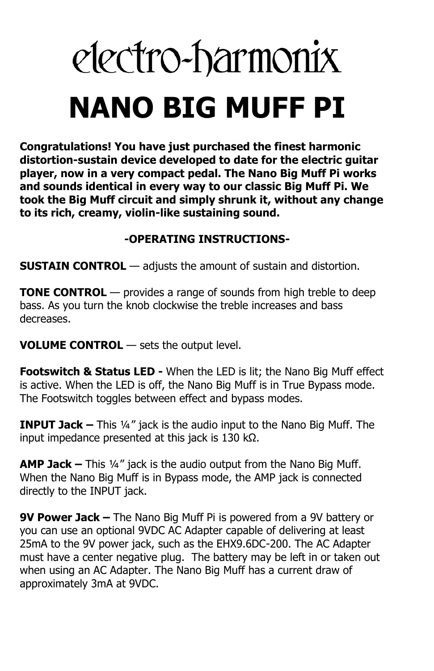# electro-harmonix **NANO BIG MUFF PI**

**Congratulations! You have just purchased the finest harmonic distortion-sustain device developed to date for the electric guitar player, now in a very compact pedal. The Nano Big Muff Pi works and sounds identical in every way to our classic Big Muff Pi. We took the Big Muff circuit and simply shrunk it, without any change to its rich, creamy, violin-like sustaining sound.**

## **-OPERATING INSTRUCTIONS-**

**SUSTAIN CONTROL** — adjusts the amount of sustain and distortion.

**TONE CONTROL** — provides a range of sounds from high treble to deep bass. As you turn the knob clockwise the treble increases and bass decreases.

**VOLUME CONTROL** — sets the output level.

**Footswitch & Status LED -** When the LED is lit; the Nano Big Muff effect is active. When the LED is off, the Nano Big Muff is in True Bypass mode. The Footswitch toggles between effect and bypass modes.

**INPUT Jack –** This ¼" jack is the audio input to the Nano Big Muff. The input impedance presented at this jack is 130 kΩ.

**AMP Jack –** This ¼" jack is the audio output from the Nano Big Muff. When the Nano Big Muff is in Bypass mode, the AMP jack is connected directly to the INPUT jack.

**9V Power Jack –** The Nano Big Muff Pi is powered from a 9V battery or you can use an optional 9VDC AC Adapter capable of delivering at least 25mA to the 9V power jack, such as the EHX9.6DC-200. The AC Adapter must have a center negative plug. The battery may be left in or taken out when using an AC Adapter. The Nano Big Muff has a current draw of approximately 3mA at 9VDC.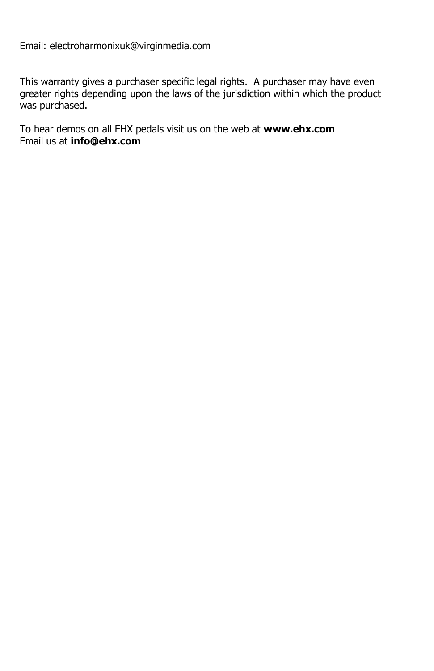Email: electroharmonixuk@virginmedia.com

This warranty gives a purchaser specific legal rights. A purchaser may have even greater rights depending upon the laws of the jurisdiction within which the product was purchased.

To hear demos on all EHX pedals visit us on the web at **www.ehx.com** Email us at **info@ehx.com**